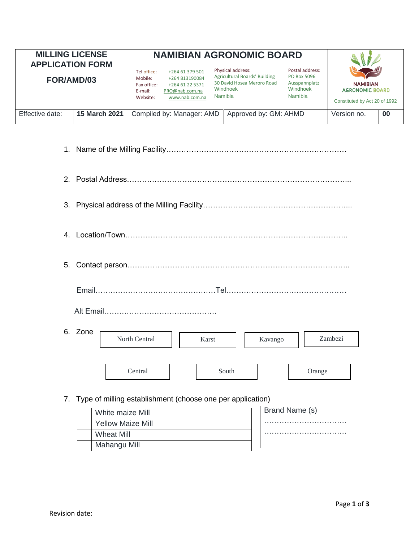| <b>MILLING LICENSE</b><br><b>APPLICATION FORM</b><br>FOR/AMD/03 |               | <b>NAMIBIAN AGRONOMIC BOARD</b>                              |                                                                                          |  |                                                                                                         |                                                                        |                                                                            |    |
|-----------------------------------------------------------------|---------------|--------------------------------------------------------------|------------------------------------------------------------------------------------------|--|---------------------------------------------------------------------------------------------------------|------------------------------------------------------------------------|----------------------------------------------------------------------------|----|
|                                                                 |               | Tel office:<br>Mobile:<br>Fax office:<br>E-mail:<br>Website: | +264 61 379 501<br>+264 813190084<br>+264 61 22 5371<br>PRO@nab.com.na<br>www.nab.com.na |  | Physical address:<br>Agricultural Boards' Building<br>30 David Hosea Meroro Road<br>Windhoek<br>Namibia | Postal address:<br>PO Box 5096<br>Ausspannplatz<br>Windhoek<br>Namibia | <b>NAMIBIAN</b><br><b>AGRONOMIC BOARD</b><br>Constituted by Act 20 of 1992 |    |
| Effective date:                                                 | 15 March 2021 |                                                              | Compiled by: Manager: AMD                                                                |  | Approved by: GM: AHMD                                                                                   |                                                                        | Version no.                                                                | 00 |

| 3.             |                                                               |
|----------------|---------------------------------------------------------------|
| 4 <sup>1</sup> |                                                               |
| 5.             |                                                               |
|                |                                                               |
|                | 6. Zone<br>Zambezi<br>North Central<br>Karst<br>Kavango       |
|                | Central<br>South<br>Orange                                    |
|                | 7. Type of milling establishment (choose one per application) |

Brand Name (s) …………………………… ………………………………………… White maize Mill Yellow Maize Mill Wheat Mill Mahangu Mill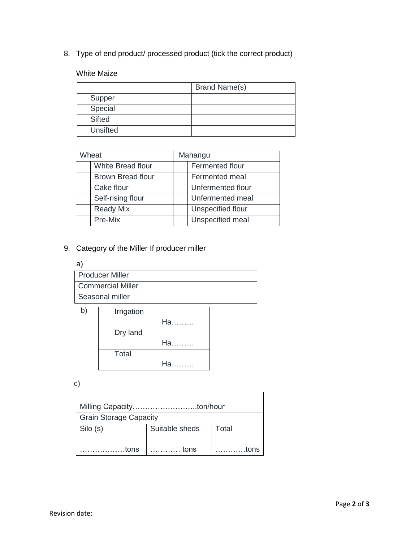8. Type of end product/ processed product (tick the correct product)

White Maize

|               | <b>Brand Name(s)</b> |
|---------------|----------------------|
| Supper        |                      |
| Special       |                      |
| <b>Sifted</b> |                      |
| Unsifted      |                      |

| Wheat |                          | Mahangu           |  |
|-------|--------------------------|-------------------|--|
|       | <b>White Bread flour</b> | Fermented flour   |  |
|       | <b>Brown Bread flour</b> | Fermented meal    |  |
|       | Cake flour               | Unfermented flour |  |
|       | Self-rising flour        | Unfermented meal  |  |
|       | <b>Ready Mix</b>         | Unspecified flour |  |
|       | Pre-Mix                  | Unspecified meal  |  |

## 9. Category of the Miller If producer miller

#### a)

| <b>Producer Miller</b>   |  |
|--------------------------|--|
| <b>Commercial Miller</b> |  |
| Seasonal miller          |  |

| b | Irrigation |      |
|---|------------|------|
|   |            | Ha   |
|   | Dry land   |      |
|   |            | Ha   |
|   | Total      |      |
|   |            | На п |

c)

| <b>Grain Storage Capacity</b> |                |       |  |  |  |  |
|-------------------------------|----------------|-------|--|--|--|--|
| Silo (s)                      | Suitable sheds | Total |  |  |  |  |
| tons                          | tons           | tons  |  |  |  |  |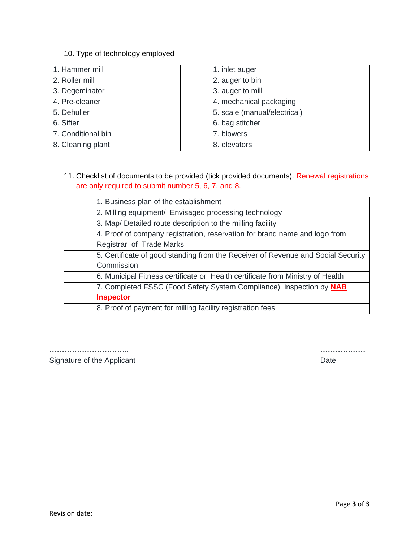#### 10. Type of technology employed

| 1. Hammer mill     | 1. inlet auger               |
|--------------------|------------------------------|
| 2. Roller mill     | 2. auger to bin              |
| 3. Degeminator     | 3. auger to mill             |
| 4. Pre-cleaner     | 4. mechanical packaging      |
| 5. Dehuller        | 5. scale (manual/electrical) |
| 6. Sifter          | 6. bag stitcher              |
| 7. Conditional bin | 7. blowers                   |
| 8. Cleaning plant  | 8. elevators                 |

### 11. Checklist of documents to be provided (tick provided documents). Renewal registrations are only required to submit number 5, 6, 7, and 8.

| 1. Business plan of the establishment                                            |
|----------------------------------------------------------------------------------|
| 2. Milling equipment/ Envisaged processing technology                            |
| 3. Map/ Detailed route description to the milling facility                       |
| 4. Proof of company registration, reservation for brand name and logo from       |
| Registrar of Trade Marks                                                         |
| 5. Certificate of good standing from the Receiver of Revenue and Social Security |
| Commission                                                                       |
| 6. Municipal Fitness certificate or Health certificate from Ministry of Health   |
| 7. Completed FSSC (Food Safety System Compliance) inspection by NAB              |
| <b>Inspector</b>                                                                 |
| 8. Proof of payment for milling facility registration fees                       |

**………………………….. ………………**  Signature of the Applicant **Date Date Date Date**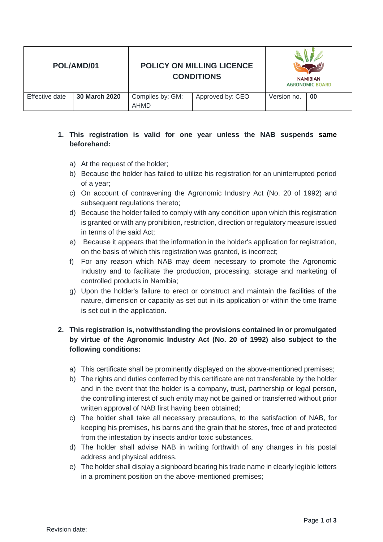| POL/AMD/01     |               |                          | <b>POLICY ON MILLING LICENCE</b><br><b>CONDITIONS</b> |             | <b>NAMIBIAN</b><br><b>AGRONOMIC BOARD</b> |
|----------------|---------------|--------------------------|-------------------------------------------------------|-------------|-------------------------------------------|
| Effective date | 30 March 2020 | Compiles by: GM:<br>AHMD | Approved by: CEO                                      | Version no. | 00                                        |

### **1. This registration is valid for one year unless the NAB suspends same beforehand:**

- a) At the request of the holder;
- b) Because the holder has failed to utilize his registration for an uninterrupted period of a year;
- c) On account of contravening the Agronomic Industry Act (No. 20 of 1992) and subsequent regulations thereto;
- d) Because the holder failed to comply with any condition upon which this registration is granted or with any prohibition, restriction, direction or regulatory measure issued in terms of the said Act;
- e) Because it appears that the information in the holder's application for registration, on the basis of which this registration was granted, is incorrect;
- f) For any reason which NAB may deem necessary to promote the Agronomic Industry and to facilitate the production, processing, storage and marketing of controlled products in Namibia;
- g) Upon the holder's failure to erect or construct and maintain the facilities of the nature, dimension or capacity as set out in its application or within the time frame is set out in the application.

# **2. This registration is, notwithstanding the provisions contained in or promulgated by virtue of the Agronomic Industry Act (No. 20 of 1992) also subject to the following conditions:**

- a) This certificate shall be prominently displayed on the above-mentioned premises;
- b) The rights and duties conferred by this certificate are not transferable by the holder and in the event that the holder is a company, trust, partnership or legal person, the controlling interest of such entity may not be gained or transferred without prior written approval of NAB first having been obtained;
- c) The holder shall take all necessary precautions, to the satisfaction of NAB, for keeping his premises, his barns and the grain that he stores, free of and protected from the infestation by insects and/or toxic substances.
- d) The holder shall advise NAB in writing forthwith of any changes in his postal address and physical address.
- e) The holder shall display a signboard bearing his trade name in clearly legible letters in a prominent position on the above-mentioned premises;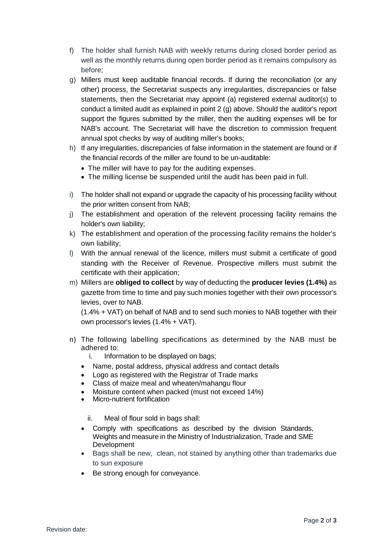- f) The holder shall furnish NAB with weekly returns during closed border period as well as the monthly returns during open border period as it remains compulsory as before;
- g) Millers must keep auditable financial records. If during the reconciliation (or any other) process, the Secretariat suspects any irregularities, discrepancies or false statements, then the Secretariat may appoint (a) registered external auditor(s) to conduct a limited audit as explained in point 2 (g) above. Should the auditor's report support the figures submitted by the miller, then the auditing expenses will be for NAB's account. The Secretariat will have the discretion to commission frequent annual spot checks by way of auditing miller's books;
- h) If any irregularities, discrepancies of false information in the statement are found or if the financial records of the miller are found to be un-auditable:
	- The miller will have to pay for the auditing expenses.
	- The milling license be suspended until the audit has been paid in full.
- i) The holder shall not expand or upgrade the capacity of his processing facility without the prior written consent from NAB;
- j) The establishment and operation of the relevent processing facility remains the holder's own liability;
- k) The establishment and operation of the processing facility remains the holder's own liability;
- l) With the annual renewal of the licence, millers must submit a certificate of good standing with the Receiver of Revenue. Prospective millers must submit the certificate with their application;
- m) Millers are **obliged to collect** by way of deducting the **producer levies (1.4%)** as gazette from time to time and pay such monies together with their own processor's levies, over to NAB.

(1.4% + VAT) on behalf of NAB and to send such monies to NAB together with their own processor's levies (1.4% + VAT).

- n) The following labelling specifications as determined by the NAB must be adhered to:
	- i. Information to be displayed on bags;
	- Name, postal address, physical address and contact details
	- Logo as registered with the Registrar of Trade marks
	- Class of maize meal and wheaten/mahangu flour
	- Moisture content when packed (must not exceed 14%)
	- Micro-nutrient fortification

ii. Meal of flour sold in bags shall:

- Comply with specifications as described by the division Standards, Weights and measure in the Ministry of Industrialization, Trade and SME **Development**
- Bags shall be new, clean, not stained by anything other than trademarks due to sun exposure
- Be strong enough for conveyance.